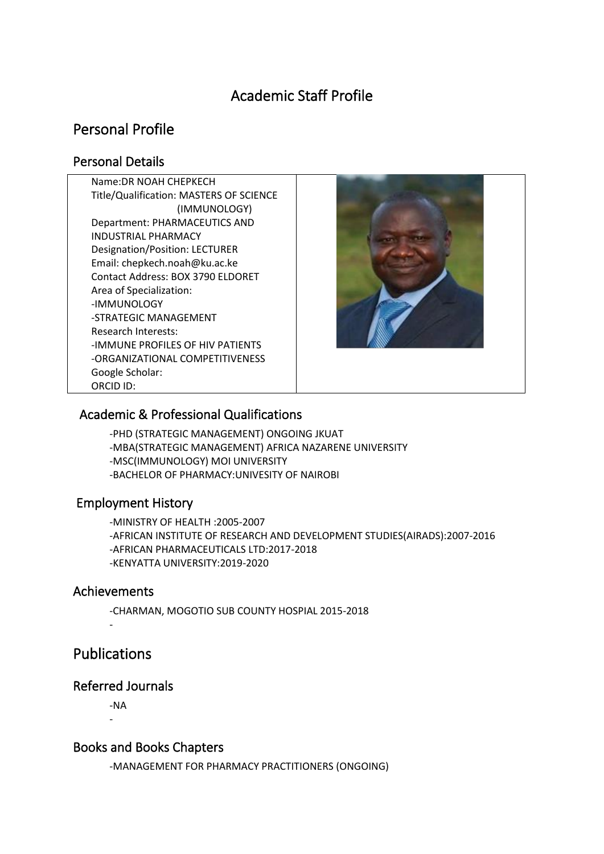# Academic Staff Profile

# Personal Profile

## Personal Details

Name:DR NOAH CHEPKECH Title/Qualification: MASTERS OF SCIENCE (IMMUNOLOGY) Department: PHARMACEUTICS AND INDUSTRIAL PHARMACY Designation/Position: LECTURER Email: chepkech.noah@ku.ac.ke Contact Address: BOX 3790 ELDORET Area of Specialization: -IMMUNOLOGY -STRATEGIC MANAGEMENT Research Interests: -IMMUNE PROFILES OF HIV PATIENTS -ORGANIZATIONAL COMPETITIVENESS Google Scholar: ORCID ID:



## Academic & Professional Qualifications

-PHD (STRATEGIC MANAGEMENT) ONGOING JKUAT -MBA(STRATEGIC MANAGEMENT) AFRICA NAZARENE UNIVERSITY -MSC(IMMUNOLOGY) MOI UNIVERSITY -BACHELOR OF PHARMACY:UNIVESITY OF NAIROBI

## Employment History

-MINISTRY OF HEALTH :2005-2007 -AFRICAN INSTITUTE OF RESEARCH AND DEVELOPMENT STUDIES(AIRADS):2007-2016 -AFRICAN PHARMACEUTICALS LTD:2017-2018 -KENYATTA UNIVERSITY:2019-2020

## Achievements

-CHARMAN, MOGOTIO SUB COUNTY HOSPIAL 2015-2018

# Publications

-

## Referred Journals

-NA -

## Books and Books Chapters

-MANAGEMENT FOR PHARMACY PRACTITIONERS (ONGOING)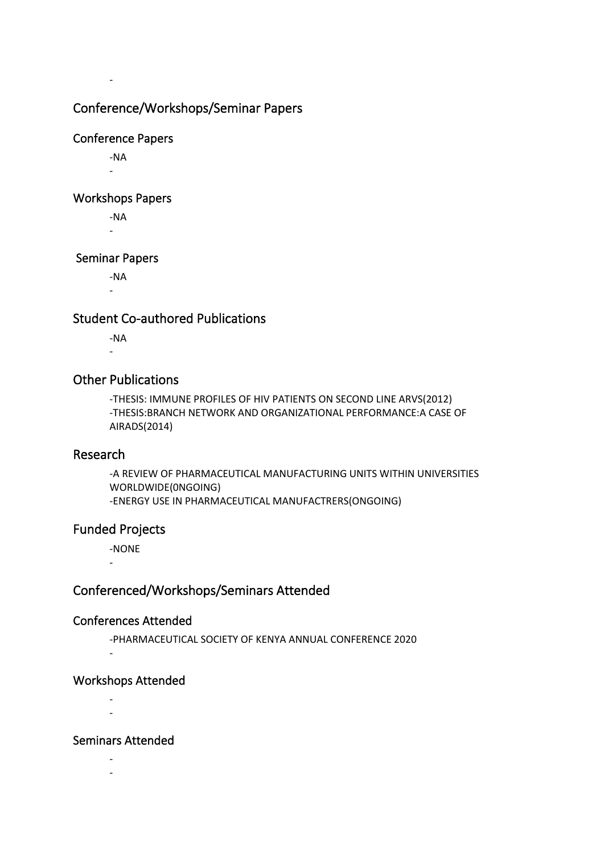## Conference/Workshops/Seminar Papers

#### Conference Papers

-NA -

-

#### Workshops Papers

-NA -

#### Seminar Papers

-NA

-

## Student Co-authored Publications

-NA -

## Other Publications

-THESIS: IMMUNE PROFILES OF HIV PATIENTS ON SECOND LINE ARVS(2012) -THESIS:BRANCH NETWORK AND ORGANIZATIONAL PERFORMANCE:A CASE OF AIRADS(2014)

#### Research

-A REVIEW OF PHARMACEUTICAL MANUFACTURING UNITS WITHIN UNIVERSITIES WORLDWIDE(0NGOING) -ENERGY USE IN PHARMACEUTICAL MANUFACTRERS(ONGOING)

## Funded Projects

-

-NONE

## Conferenced/Workshops/Seminars Attended

#### Conferences Attended

-PHARMACEUTICAL SOCIETY OF KENYA ANNUAL CONFERENCE 2020 -

## Workshops Attended

- -

#### Seminars Attended

- -